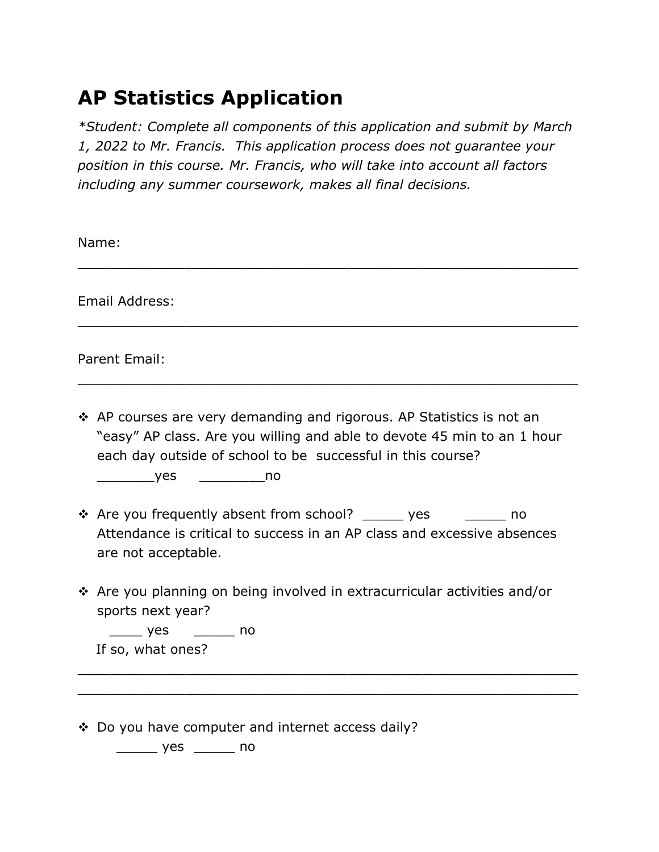## **AP Statistics Application**

*\*Student: Complete all components of this application and submit by March 1, 2022 to Mr. Francis. This application process does not guarantee your position in this course. Mr. Francis, who will take into account all factors including any summer coursework, makes all final decisions.* 

| Name:<br>Email Address: |                                                                                                                                                                                                                                                                                                                                                            |
|-------------------------|------------------------------------------------------------------------------------------------------------------------------------------------------------------------------------------------------------------------------------------------------------------------------------------------------------------------------------------------------------|
|                         |                                                                                                                                                                                                                                                                                                                                                            |
|                         | ❖ AP courses are very demanding and rigorous. AP Statistics is not an<br>"easy" AP class. Are you willing and able to devote 45 min to an 1 hour<br>each day outside of school to be successful in this course?<br><b>Example 19 Yes</b><br>and the contract of the contract of the contract of the contract of the contract of the contract of the contra |
|                         | ❖ Are you frequently absent from school? ______ yes ________ no<br>Attendance is critical to success in an AP class and excessive absences<br>are not acceptable.                                                                                                                                                                                          |
|                         | ❖ Are you planning on being involved in extracurricular activities and/or<br>sports next year?<br>______ yes _______ no<br>If so, what ones?                                                                                                                                                                                                               |

v Do you have computer and internet access daily?

\_\_\_\_\_ yes \_\_\_\_\_ no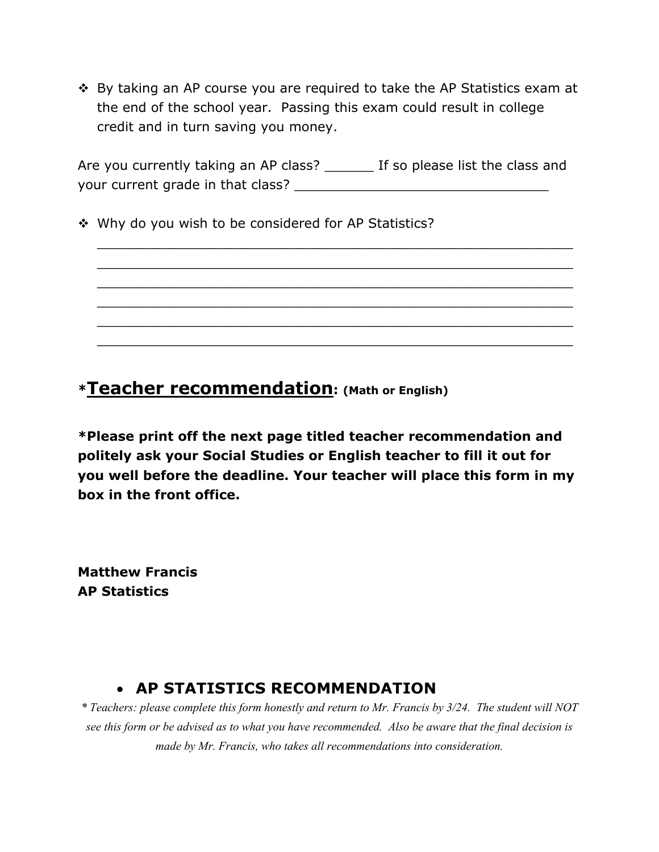v By taking an AP course you are required to take the AP Statistics exam at the end of the school year. Passing this exam could result in college credit and in turn saving you money.

Are you currently taking an AP class? If so please list the class and your current grade in that class? The contract of the contract of the contract of the contract of the contract o

\_\_\_\_\_\_\_\_\_\_\_\_\_\_\_\_\_\_\_\_\_\_\_\_\_\_\_\_\_\_\_\_\_\_\_\_\_\_\_\_\_\_\_\_\_\_\_\_\_\_\_\_\_\_\_\_\_\_ \_\_\_\_\_\_\_\_\_\_\_\_\_\_\_\_\_\_\_\_\_\_\_\_\_\_\_\_\_\_\_\_\_\_\_\_\_\_\_\_\_\_\_\_\_\_\_\_\_\_\_\_\_\_\_\_\_\_ \_\_\_\_\_\_\_\_\_\_\_\_\_\_\_\_\_\_\_\_\_\_\_\_\_\_\_\_\_\_\_\_\_\_\_\_\_\_\_\_\_\_\_\_\_\_\_\_\_\_\_\_\_\_\_\_\_\_ \_\_\_\_\_\_\_\_\_\_\_\_\_\_\_\_\_\_\_\_\_\_\_\_\_\_\_\_\_\_\_\_\_\_\_\_\_\_\_\_\_\_\_\_\_\_\_\_\_\_\_\_\_\_\_\_\_\_ \_\_\_\_\_\_\_\_\_\_\_\_\_\_\_\_\_\_\_\_\_\_\_\_\_\_\_\_\_\_\_\_\_\_\_\_\_\_\_\_\_\_\_\_\_\_\_\_\_\_\_\_\_\_\_\_\_\_ \_\_\_\_\_\_\_\_\_\_\_\_\_\_\_\_\_\_\_\_\_\_\_\_\_\_\_\_\_\_\_\_\_\_\_\_\_\_\_\_\_\_\_\_\_\_\_\_\_\_\_\_\_\_\_\_\_\_

\* Why do you wish to be considered for AP Statistics?

**\*Teacher recommendation: (Math or English)**

**\*Please print off the next page titled teacher recommendation and politely ask your Social Studies or English teacher to fill it out for you well before the deadline. Your teacher will place this form in my box in the front office.** 

**Matthew Francis AP Statistics**

## • **AP STATISTICS RECOMMENDATION**

*\* Teachers: please complete this form honestly and return to Mr. Francis by 3/24. The student will NOT see this form or be advised as to what you have recommended. Also be aware that the final decision is made by Mr. Francis, who takes all recommendations into consideration.*